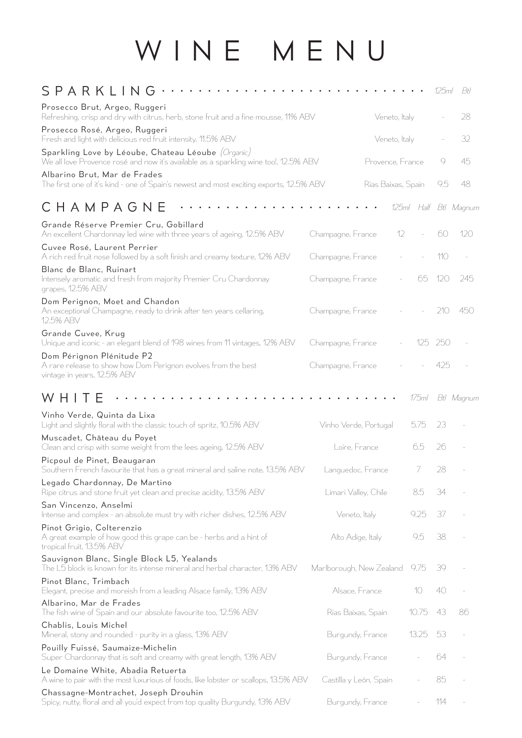## WINE MENU

| SPARKLING<br>.                                                                                                                                          |                          |       | 125ml   | Bŧl                   |
|---------------------------------------------------------------------------------------------------------------------------------------------------------|--------------------------|-------|---------|-----------------------|
| Prosecco Brut, Argeo, Ruggeri<br>Refreshing, crisp and dry with citrus, herb, stone fruit and a fine mousse, 11% ABV                                    | Veneto, Italy            |       |         | 28                    |
| Prosecco Rosé, Argeo, Ruggeri<br>Fresh and light with delicious red fruit intensity, 11.5% ABV                                                          | Veneto, Italy            |       |         | 32                    |
| Sparkling Love by Léoube, Chateau Léoube $(\mathcal{O}$ rganic)<br>We all love Provence rosé and now it's available as a sparkling wine too!, 12.5% ABV | Provence, France         |       | 9       | 45                    |
| Albarino Brut, Mar de Frades<br>The first one of it's kind - one of Spain's newest and most exciting exports, 12.5% ABV                                 | Rias Baixas, Spain       |       | 9.5     | 48                    |
| СНАМРАСЛЕ                                                                                                                                               |                          |       |         | 125ml Half Btl Magnum |
| Grande Réserve Premier Cru, Gobillard<br>An excellent Chardonnay led wine with three years of ageing, 12.5% ABV                                         | 12<br>Champagne, France  |       | 60      | 120                   |
| Cuvee Rosé, Laurent Perrier<br>A rich red fruit nose followed by a soft finish and creamy texture, 12% ABV                                              | Champagne, France        |       | 110     |                       |
| Blanc de Blanc, Ruinart<br>Intensely aromatic and fresh from majority Premier Cru Chardonnay<br>grapes, 12.5% ABV                                       | Champagne, France        | 65.   | 120     | 245                   |
| Dom Perignon, Moet and Chandon<br>An exceptional Champagne, ready to drink after ten years cellaring,<br>12.5% ABV                                      | Champagne, France        |       | 210     | 450                   |
| Grande Cuvee, Krug<br>Unique and iconic - an elegant blend of 198 wines from 11 vintages, 12% ABV                                                       | Champagne, France        |       | 125 250 |                       |
| Dom Pérignon Plénitude P2<br>A rare release to show how Dom Perignon evolves from the best<br>vintage in years, 12.5% ABV                               | Champagne, France        |       | 425     |                       |
| WН                                                                                                                                                      |                          | 175ml |         | Btl Magnum            |
| Vinho Verde, Quinta da Lixa<br>Light and slightly floral with the classic touch of spritz, 10.5% ABV                                                    | Vinho Verde, Portugal    | 5.75  | 23      |                       |
| Muscadet, Château du Poyet<br>Clean and crisp with some weight from the lees ageing, 12.5% ABV                                                          | Loire, France            | 6.5   | 26      |                       |
| Picpoul de Pinet, Beaugaran<br>Southern French favourite that has a great mineral and saline note, 13.5% ABV                                            | Languedoc, France        | 7     | 28      |                       |
| Legado Chardonnay, De Martino<br>Ripe citrus and stone fruit yet clean and precise acidity, 13.5% ABV                                                   | Limari Valley, Chile     | 8.5   | 34      |                       |
| San Vincenzo, Anselmi<br>Intense and complex - an absolute must try with richer dishes, 12.5% ABV                                                       | Veneto, Italy            | 9.25  | 37      |                       |
| Pinot Grigio, Colterenzio<br>A great example of how good this grape can be - herbs and a hint of<br>tropical fruit, 13.5% ABV                           | Alto Adige, Italy        | 9.5   | 38      |                       |
| Sauvignon Blanc, Single Block L5, Yealands<br>The L5 block is known for its intense mineral and herbal character, 13% ABV                               | Marlborough, New Zealand | 9.75  | 39      |                       |
| Pinot Blanc, Trimbach<br>Elegant, precise and moreish from a leading Alsace family, 13% ABV                                                             | Alsace, France           | 10    | 40      |                       |
| Albarino, Mar de Frades<br>The fish wine of Spain and our absolute favourite too, 12.5% ABV                                                             | Rias Baixas, Spain       | 10.75 | 43      | 86                    |
| Chablis, Louis Michel<br>Mineral, stony and rounded - purity in a glass, 13% ABV                                                                        | Burgundy, France         | 13.25 | 53      |                       |
| Pouilly Fuissé, Saumaize-Michelin<br>Super Chardonnay that is soft and creamy with great length, 13% ABV                                                | Burgundy, France         |       | 64      |                       |
| Le Domaine White, Abadia Retuerta<br>A wine to pair with the most luxurious of foods, like lobster or scallops, 13.5% ABV                               | Castilla y León, Spain   |       | 85      |                       |
| Chassagne-Montrachet, Joseph Drouhin<br>Spicy, nutty, floral and all you'd expect from top quality Burgundy, 13% ABV                                    | Burgundy, France         |       | 114     |                       |